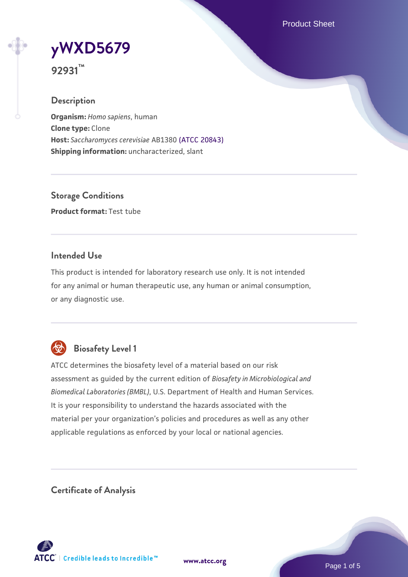Product Sheet

# **[yWXD5679](https://www.atcc.org/products/92931)**

**92931™**

# **Description**

**Organism:** *Homo sapiens*, human **Clone type:** Clone **Host:** *Saccharomyces cerevisiae* AB1380 [\(ATCC 20843\)](https://www.atcc.org/products/20843) **Shipping information:** uncharacterized, slant

**Storage Conditions Product format:** Test tube

# **Intended Use**

This product is intended for laboratory research use only. It is not intended for any animal or human therapeutic use, any human or animal consumption, or any diagnostic use.



# **Biosafety Level 1**

ATCC determines the biosafety level of a material based on our risk assessment as guided by the current edition of *Biosafety in Microbiological and Biomedical Laboratories (BMBL)*, U.S. Department of Health and Human Services. It is your responsibility to understand the hazards associated with the material per your organization's policies and procedures as well as any other applicable regulations as enforced by your local or national agencies.

**Certificate of Analysis**

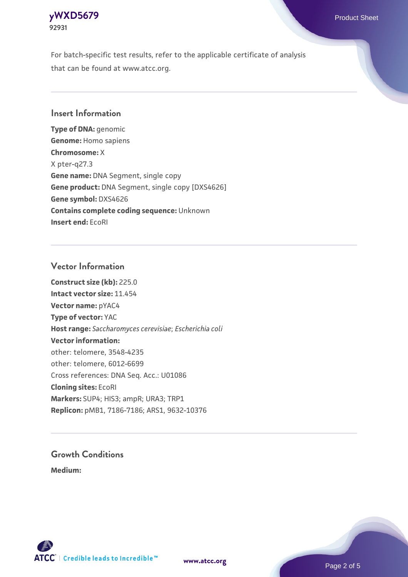# **[yWXD5679](https://www.atcc.org/products/92931)** Product Sheet **92931**

For batch-specific test results, refer to the applicable certificate of analysis that can be found at www.atcc.org.

# **Insert Information**

**Type of DNA:** genomic **Genome:** Homo sapiens **Chromosome:** X X pter-q27.3 **Gene name:** DNA Segment, single copy **Gene product:** DNA Segment, single copy [DXS4626] **Gene symbol:** DXS4626 **Contains complete coding sequence:** Unknown **Insert end:** EcoRI

# **Vector Information**

**Construct size (kb):** 225.0 **Intact vector size:** 11.454 **Vector name:** pYAC4 **Type of vector:** YAC **Host range:** *Saccharomyces cerevisiae*; *Escherichia coli* **Vector information:** other: telomere, 3548-4235 other: telomere, 6012-6699 Cross references: DNA Seq. Acc.: U01086 **Cloning sites:** EcoRI **Markers:** SUP4; HIS3; ampR; URA3; TRP1 **Replicon:** pMB1, 7186-7186; ARS1, 9632-10376

# **Growth Conditions**

**Medium:** 



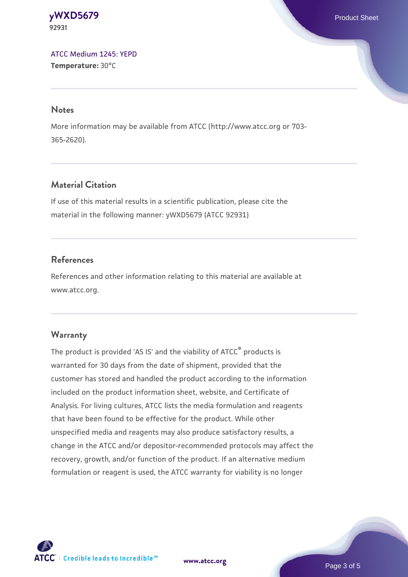**[yWXD5679](https://www.atcc.org/products/92931)** Product Sheet **92931**

[ATCC Medium 1245: YEPD](https://www.atcc.org/-/media/product-assets/documents/microbial-media-formulations/1/2/4/5/atcc-medium-1245.pdf?rev=705ca55d1b6f490a808a965d5c072196) **Temperature:** 30°C

#### **Notes**

More information may be available from ATCC (http://www.atcc.org or 703- 365-2620).

# **Material Citation**

If use of this material results in a scientific publication, please cite the material in the following manner: yWXD5679 (ATCC 92931)

# **References**

References and other information relating to this material are available at www.atcc.org.

### **Warranty**

The product is provided 'AS IS' and the viability of ATCC® products is warranted for 30 days from the date of shipment, provided that the customer has stored and handled the product according to the information included on the product information sheet, website, and Certificate of Analysis. For living cultures, ATCC lists the media formulation and reagents that have been found to be effective for the product. While other unspecified media and reagents may also produce satisfactory results, a change in the ATCC and/or depositor-recommended protocols may affect the recovery, growth, and/or function of the product. If an alternative medium formulation or reagent is used, the ATCC warranty for viability is no longer



**[www.atcc.org](http://www.atcc.org)**

Page 3 of 5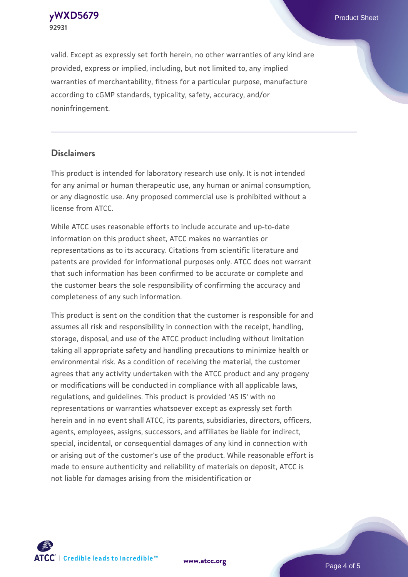**[yWXD5679](https://www.atcc.org/products/92931)** Product Sheet **92931**

valid. Except as expressly set forth herein, no other warranties of any kind are provided, express or implied, including, but not limited to, any implied warranties of merchantability, fitness for a particular purpose, manufacture according to cGMP standards, typicality, safety, accuracy, and/or noninfringement.

#### **Disclaimers**

This product is intended for laboratory research use only. It is not intended for any animal or human therapeutic use, any human or animal consumption, or any diagnostic use. Any proposed commercial use is prohibited without a license from ATCC.

While ATCC uses reasonable efforts to include accurate and up-to-date information on this product sheet, ATCC makes no warranties or representations as to its accuracy. Citations from scientific literature and patents are provided for informational purposes only. ATCC does not warrant that such information has been confirmed to be accurate or complete and the customer bears the sole responsibility of confirming the accuracy and completeness of any such information.

This product is sent on the condition that the customer is responsible for and assumes all risk and responsibility in connection with the receipt, handling, storage, disposal, and use of the ATCC product including without limitation taking all appropriate safety and handling precautions to minimize health or environmental risk. As a condition of receiving the material, the customer agrees that any activity undertaken with the ATCC product and any progeny or modifications will be conducted in compliance with all applicable laws, regulations, and guidelines. This product is provided 'AS IS' with no representations or warranties whatsoever except as expressly set forth herein and in no event shall ATCC, its parents, subsidiaries, directors, officers, agents, employees, assigns, successors, and affiliates be liable for indirect, special, incidental, or consequential damages of any kind in connection with or arising out of the customer's use of the product. While reasonable effort is made to ensure authenticity and reliability of materials on deposit, ATCC is not liable for damages arising from the misidentification or



**[www.atcc.org](http://www.atcc.org)**

Page 4 of 5